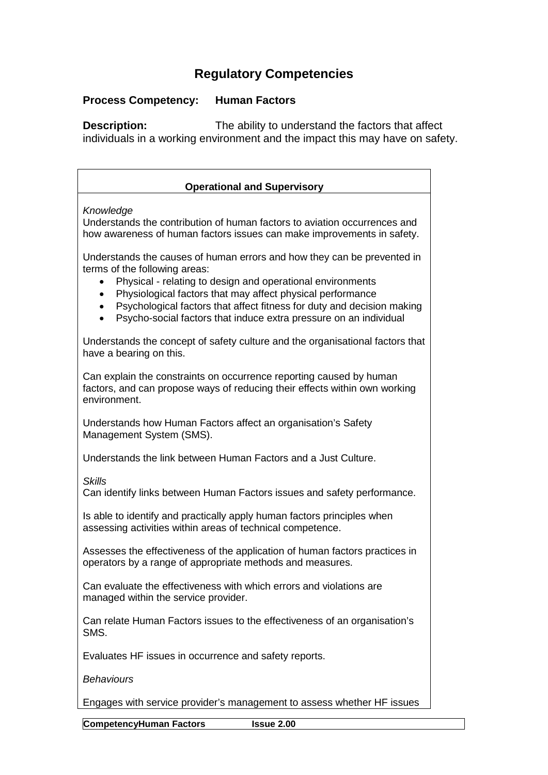## **Regulatory Competencies**

## **Process Competency: Human Factors**

**Description:** The ability to understand the factors that affect individuals in a working environment and the impact this may have on safety.

| <b>Operational and Supervisory</b>                                                                                                                                                                                                                                                                                                                                                  |
|-------------------------------------------------------------------------------------------------------------------------------------------------------------------------------------------------------------------------------------------------------------------------------------------------------------------------------------------------------------------------------------|
| Knowledge<br>Understands the contribution of human factors to aviation occurrences and<br>how awareness of human factors issues can make improvements in safety.                                                                                                                                                                                                                    |
| Understands the causes of human errors and how they can be prevented in<br>terms of the following areas:<br>Physical - relating to design and operational environments<br>Physiological factors that may affect physical performance<br>Psychological factors that affect fitness for duty and decision making<br>Psycho-social factors that induce extra pressure on an individual |
| Understands the concept of safety culture and the organisational factors that<br>have a bearing on this.                                                                                                                                                                                                                                                                            |
| Can explain the constraints on occurrence reporting caused by human<br>factors, and can propose ways of reducing their effects within own working<br>environment.                                                                                                                                                                                                                   |
| Understands how Human Factors affect an organisation's Safety<br>Management System (SMS).                                                                                                                                                                                                                                                                                           |
| Understands the link between Human Factors and a Just Culture.                                                                                                                                                                                                                                                                                                                      |
| <b>Skills</b><br>Can identify links between Human Factors issues and safety performance.                                                                                                                                                                                                                                                                                            |
| Is able to identify and practically apply human factors principles when<br>assessing activities within areas of technical competence.                                                                                                                                                                                                                                               |
| Assesses the effectiveness of the application of human factors practices in<br>operators by a range of appropriate methods and measures.                                                                                                                                                                                                                                            |
| Can evaluate the effectiveness with which errors and violations are<br>managed within the service provider.                                                                                                                                                                                                                                                                         |
| Can relate Human Factors issues to the effectiveness of an organisation's<br>SMS.                                                                                                                                                                                                                                                                                                   |
| Evaluates HF issues in occurrence and safety reports.                                                                                                                                                                                                                                                                                                                               |
| <b>Behaviours</b>                                                                                                                                                                                                                                                                                                                                                                   |
| Engages with service provider's management to assess whether HF issues                                                                                                                                                                                                                                                                                                              |

**CompetencyHuman Factors Issue 2.00**